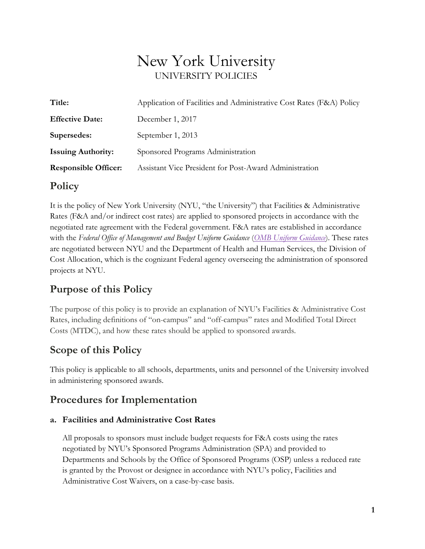# New York University UNIVERSITY POLICIES

| Title:                      | Application of Facilities and Administrative Cost Rates (F&A) Policy |
|-----------------------------|----------------------------------------------------------------------|
| <b>Effective Date:</b>      | December 1, 2017                                                     |
| Supersedes:                 | September 1, 2013                                                    |
| <b>Issuing Authority:</b>   | Sponsored Programs Administration                                    |
| <b>Responsible Officer:</b> | Assistant Vice President for Post-Award Administration               |

## **Policy**

It is the policy of New York University (NYU, "the University") that Facilities & Administrative Rates (F&A and/or indirect cost rates) are applied to sponsored projects in accordance with the negotiated rate agreement with the Federal government. F&A rates are established in accordance with the *Federal Office of Management and Budget Uniform Guidance* (*[OMB Uniform Guidance](https://www.ecfr.gov/cgi-bin/text-idx?tpl=/ecfrbrowse/Title02/2cfr200_main_02.tpl)*). These rates are negotiated between NYU and the Department of Health and Human Services, the Division of Cost Allocation, which is the cognizant Federal agency overseeing the administration of sponsored projects at NYU.

# **Purpose of this Policy**

The purpose of this policy is to provide an explanation of NYU's Facilities & Administrative Cost Rates, including definitions of "on-campus" and "off-campus" rates and Modified Total Direct Costs (MTDC), and how these rates should be applied to sponsored awards.

## **Scope of this Policy**

This policy is applicable to all schools, departments, units and personnel of the University involved in administering sponsored awards.

# **Procedures for Implementation**

#### **a. Facilities and Administrative Cost Rates**

All proposals to sponsors must include budget requests for F&A costs using the rates negotiated by NYU's Sponsored Programs Administration (SPA) and provided to Departments and Schools by the Office of Sponsored Programs (OSP) unless a reduced rate is granted by the Provost or designee in accordance with NYU's policy, Facilities and Administrative Cost Waivers, on a case-by-case basis.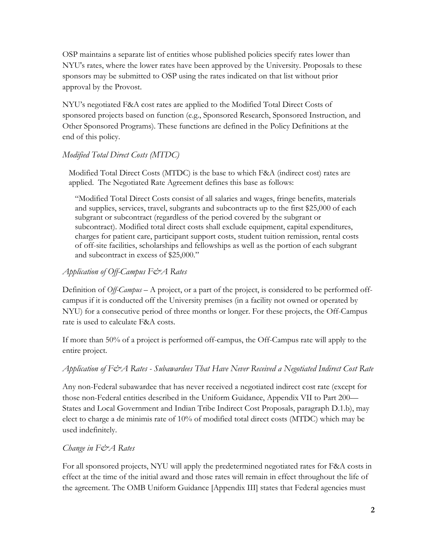OSP maintains a separate list of entities whose published policies specify rates lower than NYU's rates, where the lower rates have been approved by the University. Proposals to these sponsors may be submitted to OSP using the rates indicated on that list without prior approval by the Provost.

NYU's negotiated F&A cost rates are applied to the Modified Total Direct Costs of sponsored projects based on function (e.g., Sponsored Research, Sponsored Instruction, and Other Sponsored Programs). These functions are defined in the Policy Definitions at the end of this policy.

#### *Modified Total Direct Costs (MTDC)*

Modified Total Direct Costs (MTDC) is the base to which F&A (indirect cost) rates are applied. The Negotiated Rate Agreement defines this base as follows:

"Modified Total Direct Costs consist of all salaries and wages, fringe benefits, materials and supplies, services, travel, subgrants and subcontracts up to the first \$25,000 of each subgrant or subcontract (regardless of the period covered by the subgrant or subcontract). Modified total direct costs shall exclude equipment, capital expenditures, charges for patient care, participant support costs, student tuition remission, rental costs of off-site facilities, scholarships and fellowships as well as the portion of each subgrant and subcontract in excess of \$25,000."

#### *Application of Off-Campus F&A Rates*

Definition of *Off-Campus* – A project, or a part of the project, is considered to be performed offcampus if it is conducted off the University premises (in a facility not owned or operated by NYU) for a consecutive period of three months or longer. For these projects, the Off-Campus rate is used to calculate F&A costs.

If more than 50% of a project is performed off-campus, the Off-Campus rate will apply to the entire project.

#### *Application of F&A Rates - Subawardees That Have Never Received a Negotiated Indirect Cost Rate*

Any non-Federal subawardee that has never received a negotiated indirect cost rate (except for those non-Federal entities described in the Uniform Guidance, Appendix VII to Part 200— States and Local Government and Indian Tribe Indirect Cost Proposals, paragraph D.1.b), may elect to charge a de minimis rate of 10% of modified total direct costs (MTDC) which may be used indefinitely.

#### *Change in F&A Rates*

For all sponsored projects, NYU will apply the predetermined negotiated rates for F&A costs in effect at the time of the initial award and those rates will remain in effect throughout the life of the agreement. The OMB Uniform Guidance [Appendix III] states that Federal agencies must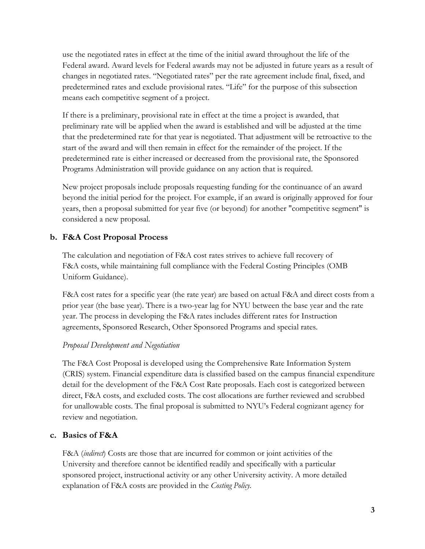use the negotiated rates in effect at the time of the initial award throughout the life of the Federal award. Award levels for Federal awards may not be adjusted in future years as a result of changes in negotiated rates. "Negotiated rates" per the rate agreement include final, fixed, and predetermined rates and exclude provisional rates. "Life" for the purpose of this subsection means each competitive segment of a project.

If there is a preliminary, provisional rate in effect at the time a project is awarded, that preliminary rate will be applied when the award is established and will be adjusted at the time that the predetermined rate for that year is negotiated. That adjustment will be retroactive to the start of the award and will then remain in effect for the remainder of the project. If the predetermined rate is either increased or decreased from the provisional rate, the Sponsored Programs Administration will provide guidance on any action that is required.

New project proposals include proposals requesting funding for the continuance of an award beyond the initial period for the project. For example, if an award is originally approved for four years, then a proposal submitted for year five (or beyond) for another "competitive segment" is considered a new proposal.

#### **b. F&A Cost Proposal Process**

The calculation and negotiation of F&A cost rates strives to achieve full recovery of F&A costs, while maintaining full compliance with the Federal Costing Principles (OMB Uniform Guidance).

F&A cost rates for a specific year (the rate year) are based on actual F&A and direct costs from a prior year (the base year). There is a two-year lag for NYU between the base year and the rate year. The process in developing the F&A rates includes different rates for Instruction agreements, Sponsored Research, Other Sponsored Programs and special rates.

#### *Proposal Development and Negotiation*

The F&A Cost Proposal is developed using the Comprehensive Rate Information System (CRIS) system. Financial expenditure data is classified based on the campus financial expenditure detail for the development of the F&A Cost Rate proposals. Each cost is categorized between direct, F&A costs, and excluded costs. The cost allocations are further reviewed and scrubbed for unallowable costs. The final proposal is submitted to NYU's Federal cognizant agency for review and negotiation.

#### **c. Basics of F&A**

F&A (*indirect*) Costs are those that are incurred for common or joint activities of the University and therefore cannot be identified readily and specifically with a particular sponsored project, instructional activity or any other University activity. A more detailed explanation of F&A costs are provided in the *Costing Policy.*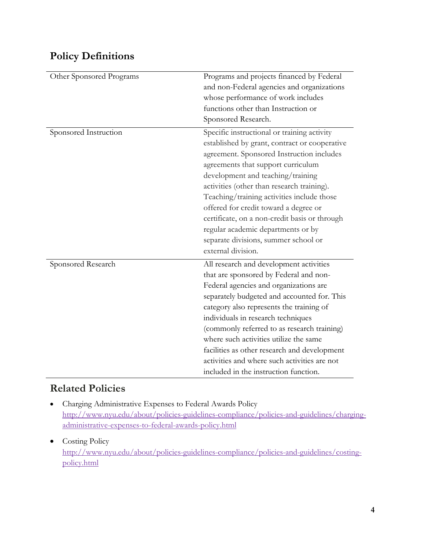## **Policy Definitions**

| Other Sponsored Programs | Programs and projects financed by Federal<br>and non-Federal agencies and organizations |
|--------------------------|-----------------------------------------------------------------------------------------|
|                          | whose performance of work includes                                                      |
|                          | functions other than Instruction or                                                     |
|                          | Sponsored Research.                                                                     |
| Sponsored Instruction    | Specific instructional or training activity                                             |
|                          | established by grant, contract or cooperative                                           |
|                          | agreement. Sponsored Instruction includes                                               |
|                          | agreements that support curriculum                                                      |
|                          | development and teaching/training                                                       |
|                          | activities (other than research training).                                              |
|                          | Teaching/training activities include those                                              |
|                          | offered for credit toward a degree or                                                   |
|                          | certificate, on a non-credit basis or through                                           |
|                          | regular academic departments or by                                                      |
|                          | separate divisions, summer school or                                                    |
|                          | external division.                                                                      |
| Sponsored Research       | All research and development activities                                                 |
|                          | that are sponsored by Federal and non-                                                  |
|                          | Federal agencies and organizations are                                                  |
|                          | separately budgeted and accounted for. This                                             |
|                          | category also represents the training of                                                |
|                          | individuals in research techniques                                                      |
|                          | (commonly referred to as research training)                                             |
|                          | where such activities utilize the same                                                  |
|                          | facilities as other research and development                                            |
|                          | activities and where such activities are not                                            |
|                          | included in the instruction function.                                                   |

## **Related Policies**

- Charging Administrative Expenses to Federal Awards Policy [http://www.nyu.edu/about/policies-guidelines-compliance/policies-and-guidelines/charging](http://www.nyu.edu/about/policies-guidelines-compliance/policies-and-guidelines/charging-administrative-expenses-to-federal-awards-policy.html)[administrative-expenses-to-federal-awards-policy.html](http://www.nyu.edu/about/policies-guidelines-compliance/policies-and-guidelines/charging-administrative-expenses-to-federal-awards-policy.html)
- Costing Policy [http://www.nyu.edu/about/policies-guidelines-compliance/policies-and-guidelines/costing](http://www.nyu.edu/about/policies-guidelines-compliance/policies-and-guidelines/costing-policy.html)[policy.html](http://www.nyu.edu/about/policies-guidelines-compliance/policies-and-guidelines/costing-policy.html)